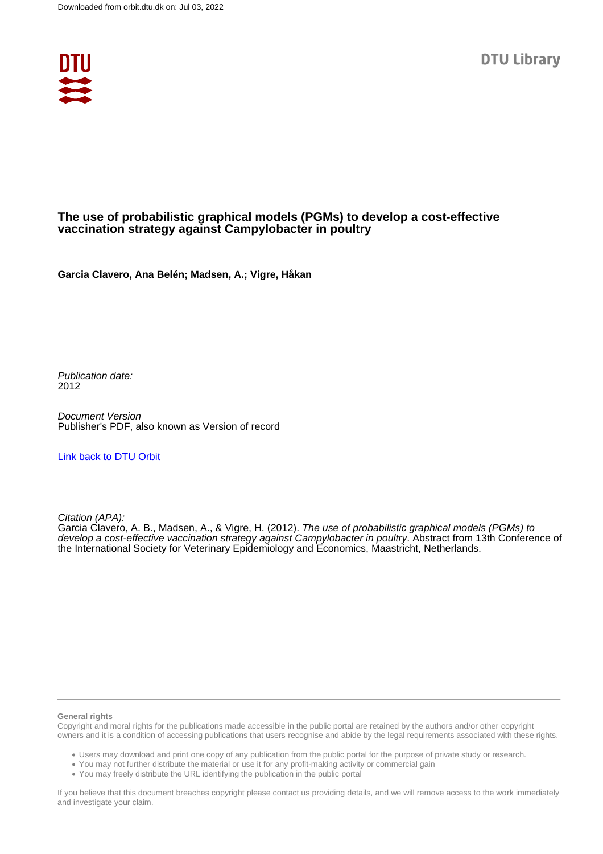

# **The use of probabilistic graphical models (PGMs) to develop a cost-effective vaccination strategy against Campylobacter in poultry**

**Garcia Clavero, Ana Belén; Madsen, A.; Vigre, Håkan**

Publication date: 2012

Document Version Publisher's PDF, also known as Version of record

### [Link back to DTU Orbit](https://orbit.dtu.dk/en/publications/39b1a2bd-ef62-4c78-9165-54ba847993ac)

Citation (APA):

Garcia Clavero, A. B., Madsen, A., & Vigre, H. (2012). The use of probabilistic graphical models (PGMs) to develop a cost-effective vaccination strategy against Campylobacter in poultry. Abstract from 13th Conference of the International Society for Veterinary Epidemiology and Economics, Maastricht, Netherlands.

#### **General rights**

Copyright and moral rights for the publications made accessible in the public portal are retained by the authors and/or other copyright owners and it is a condition of accessing publications that users recognise and abide by the legal requirements associated with these rights.

Users may download and print one copy of any publication from the public portal for the purpose of private study or research.

- You may not further distribute the material or use it for any profit-making activity or commercial gain
- You may freely distribute the URL identifying the publication in the public portal

If you believe that this document breaches copyright please contact us providing details, and we will remove access to the work immediately and investigate your claim.